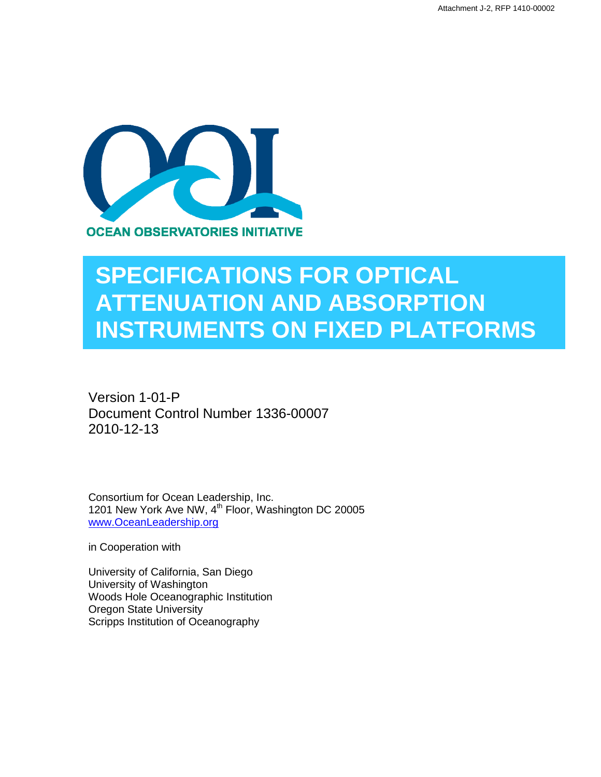

## **SPECIFICATIONS FOR OPTICAL ATTENUATION AND ABSORPTION INSTRUMENTS ON FIXED PLATFORMS**

Version 1-01-P Document Control Number 1336-00007 2010-12-13

Consortium for Ocean Leadership, Inc. 1201 New York Ave NW, 4<sup>th</sup> Floor, Washington DC 20005 [www.OceanLeadership.org](http://www.oceanleadership.org/)

in Cooperation with

University of California, San Diego University of Washington Woods Hole Oceanographic Institution Oregon State University Scripps Institution of Oceanography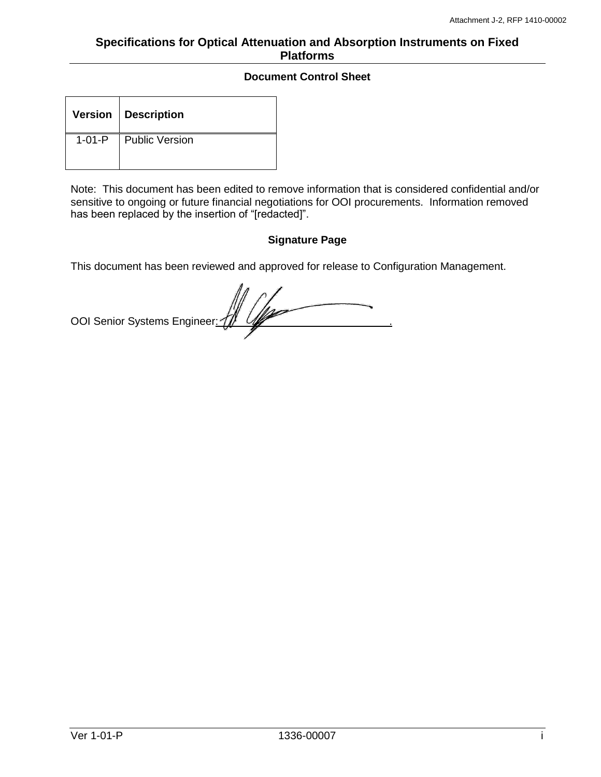## **Document Control Sheet**

|              | Version   Description |
|--------------|-----------------------|
| $1 - 01 - P$ | Public Version        |

Note: This document has been edited to remove information that is considered confidential and/or sensitive to ongoing or future financial negotiations for OOI procurements. Information removed has been replaced by the insertion of "[redacted]".

## **Signature Page**

This document has been reviewed and approved for release to Configuration Management.

OOI Senior Systems Engineer: 4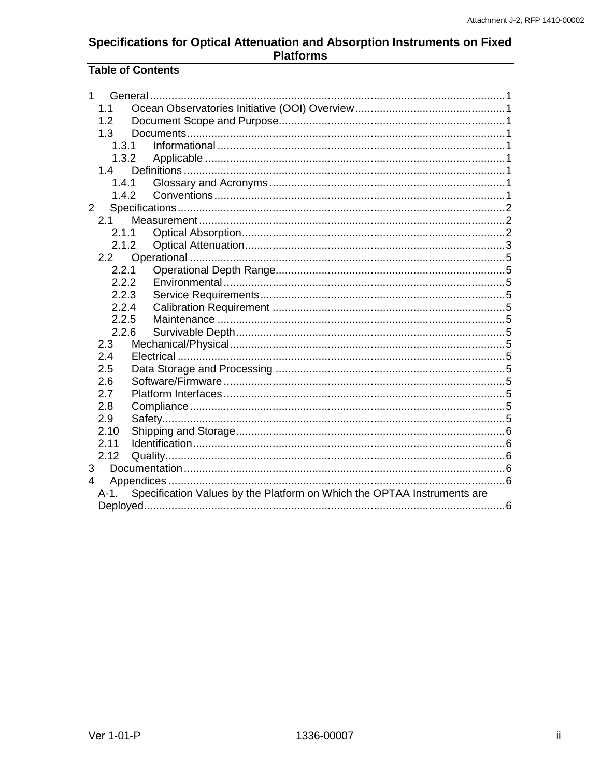## **Table of Contents**

| 1              |            | General                                                                 |  |  |  |  |  |
|----------------|------------|-------------------------------------------------------------------------|--|--|--|--|--|
|                | 1.1        |                                                                         |  |  |  |  |  |
|                | 1.2        |                                                                         |  |  |  |  |  |
|                | 1.3        |                                                                         |  |  |  |  |  |
|                |            | 1.3.1                                                                   |  |  |  |  |  |
|                | 1.3.2      |                                                                         |  |  |  |  |  |
|                | 1.4        |                                                                         |  |  |  |  |  |
|                |            | 1.4.1                                                                   |  |  |  |  |  |
|                |            | 1.4.2                                                                   |  |  |  |  |  |
| $\overline{2}$ |            |                                                                         |  |  |  |  |  |
|                | 2.1        |                                                                         |  |  |  |  |  |
|                | 2.1.1      |                                                                         |  |  |  |  |  |
|                | 2.1.2      |                                                                         |  |  |  |  |  |
|                | 2.2        |                                                                         |  |  |  |  |  |
|                | 2.2.1      |                                                                         |  |  |  |  |  |
| 2.2.2          |            |                                                                         |  |  |  |  |  |
|                | 2.2.3      |                                                                         |  |  |  |  |  |
|                | 2.2.4      |                                                                         |  |  |  |  |  |
|                | 2.2.5      |                                                                         |  |  |  |  |  |
|                | 2.2.6      |                                                                         |  |  |  |  |  |
|                | 2.3        |                                                                         |  |  |  |  |  |
|                | 2.4        |                                                                         |  |  |  |  |  |
|                | 2.5<br>2.6 |                                                                         |  |  |  |  |  |
|                |            |                                                                         |  |  |  |  |  |
| 2.7<br>2.8     |            |                                                                         |  |  |  |  |  |
|                | 2.9        |                                                                         |  |  |  |  |  |
|                | 2.10       |                                                                         |  |  |  |  |  |
|                | 2.11       |                                                                         |  |  |  |  |  |
|                | 2.12       |                                                                         |  |  |  |  |  |
| 3              |            |                                                                         |  |  |  |  |  |
| 4              |            |                                                                         |  |  |  |  |  |
|                | A-1.       | Specification Values by the Platform on Which the OPTAA Instruments are |  |  |  |  |  |
|                |            |                                                                         |  |  |  |  |  |
|                |            |                                                                         |  |  |  |  |  |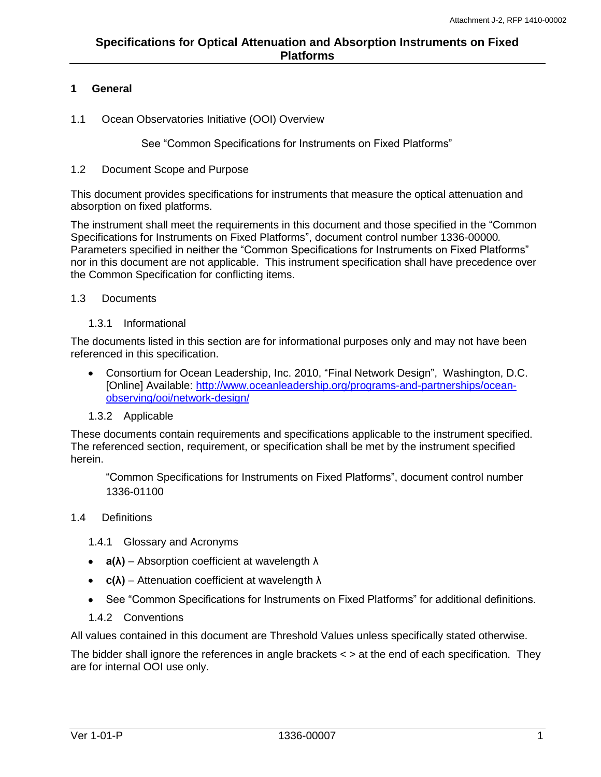## <span id="page-3-0"></span>**1 General**

<span id="page-3-1"></span>1.1 Ocean Observatories Initiative (OOI) Overview

See "Common Specifications for Instruments on Fixed Platforms"

## <span id="page-3-2"></span>1.2 Document Scope and Purpose

This document provides specifications for instruments that measure the optical attenuation and absorption on fixed platforms.

The instrument shall meet the requirements in this document and those specified in the "Common Specifications for Instruments on Fixed Platforms", document control number 1336-00000*.* Parameters specified in neither the "Common Specifications for Instruments on Fixed Platforms" nor in this document are not applicable. This instrument specification shall have precedence over the Common Specification for conflicting items.

## <span id="page-3-3"></span>1.3 Documents

#### 1.3.1 Informational

<span id="page-3-4"></span>The documents listed in this section are for informational purposes only and may not have been referenced in this specification.

Consortium for Ocean Leadership, Inc. 2010, "Final Network Design", Washington, D.C. [Online] Available: [http://www.oceanleadership.org/programs-and-partnerships/ocean](http://www.oceanleadership.org/programs-and-partnerships/ocean-observing/ooi/network-design/)[observing/ooi/network-design/](http://www.oceanleadership.org/programs-and-partnerships/ocean-observing/ooi/network-design/)

## 1.3.2 Applicable

<span id="page-3-5"></span>These documents contain requirements and specifications applicable to the instrument specified. The referenced section, requirement, or specification shall be met by the instrument specified herein.

"Common Specifications for Instruments on Fixed Platforms", document control number 1336-01100

## <span id="page-3-6"></span>1.4 Definitions

<span id="page-3-7"></span>1.4.1 Glossary and Acronyms

- **a(λ)** Absorption coefficient at wavelength λ
- **c(λ)** Attenuation coefficient at wavelength λ
- See "Common Specifications for Instruments on Fixed Platforms" for additional definitions.
- 1.4.2 Conventions

<span id="page-3-8"></span>All values contained in this document are Threshold Values unless specifically stated otherwise.

The bidder shall ignore the references in angle brackets  $\lt$   $>$  at the end of each specification. They are for internal OOI use only.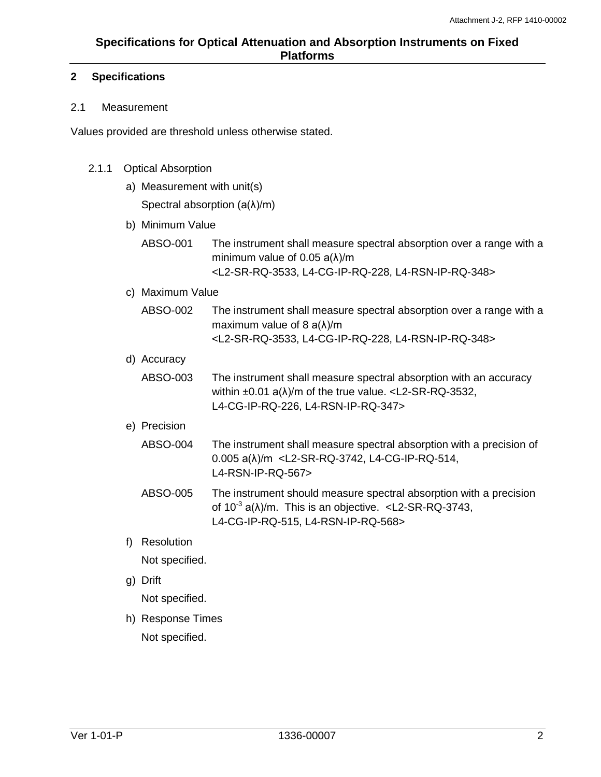## <span id="page-4-0"></span>**2 Specifications**

## <span id="page-4-1"></span>2.1 Measurement

Values provided are threshold unless otherwise stated.

## <span id="page-4-2"></span>2.1.1 Optical Absorption

a) Measurement with unit(s)

Spectral absorption (a(λ)/m)

- b) Minimum Value
	- ABSO-001 The instrument shall measure spectral absorption over a range with a minimum value of 0.05 a(λ)/m <L2-SR-RQ-3533, L4-CG-IP-RQ-228, L4-RSN-IP-RQ-348>
- c) Maximum Value
	- ABSO-002 The instrument shall measure spectral absorption over a range with a maximum value of 8 a(λ)/m <L2-SR-RQ-3533, L4-CG-IP-RQ-228, L4-RSN-IP-RQ-348>
- d) Accuracy
	- ABSO-003 The instrument shall measure spectral absorption with an accuracy within  $\pm 0.01$  a( $\lambda$ )/m of the true value. <L2-SR-RQ-3532, L4-CG-IP-RQ-226, L4-RSN-IP-RQ-347>

## e) Precision

- ABSO-004 The instrument shall measure spectral absorption with a precision of 0.005 a(λ)/m <L2-SR-RQ-3742, L4-CG-IP-RQ-514, L4-RSN-IP-RQ-567>
- ABSO-005 The instrument should measure spectral absorption with a precision of 10<sup>-3</sup> a( $\lambda$ )/m. This is an objective. <L2-SR-RQ-3743, L4-CG-IP-RQ-515, L4-RSN-IP-RQ-568>
- f) Resolution Not specified.
- g) Drift

Not specified.

h) Response Times Not specified.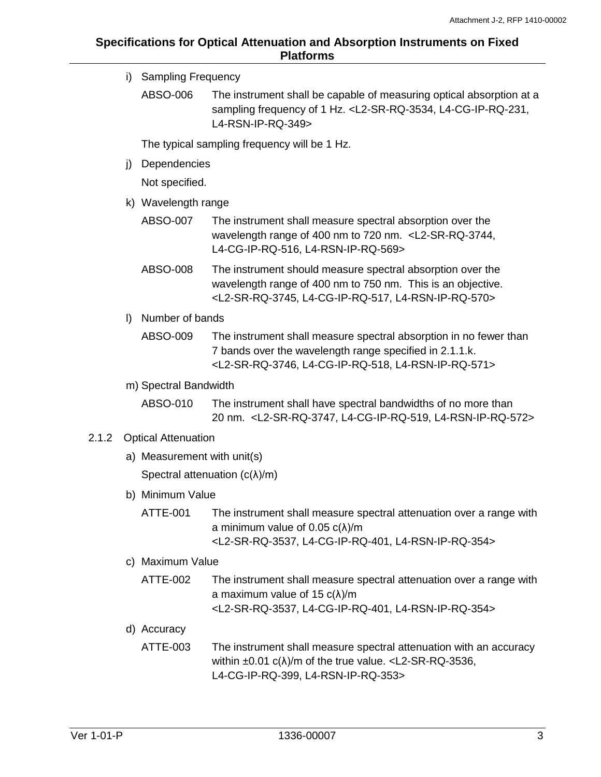i) Sampling Frequency ABSO-006 The instrument shall be capable of measuring optical absorption at a sampling frequency of 1 Hz. <L2-SR-RQ-3534, L4-CG-IP-RQ-231, L4-RSN-IP-RQ-349> The typical sampling frequency will be 1 Hz. j) Dependencies Not specified. k) Wavelength range ABSO-007 The instrument shall measure spectral absorption over the wavelength range of 400 nm to 720 nm. <L2-SR-RQ-3744, L4-CG-IP-RQ-516, L4-RSN-IP-RQ-569> ABSO-008 The instrument should measure spectral absorption over the wavelength range of 400 nm to 750 nm. This is an objective. <L2-SR-RQ-3745, L4-CG-IP-RQ-517, L4-RSN-IP-RQ-570> l) Number of bands ABSO-009 The instrument shall measure spectral absorption in no fewer than 7 bands over the wavelength range specified in 2.1.1.k. <L2-SR-RQ-3746, L4-CG-IP-RQ-518, L4-RSN-IP-RQ-571> m) Spectral Bandwidth ABSO-010 The instrument shall have spectral bandwidths of no more than 20 nm. <L2-SR-RQ-3747, L4-CG-IP-RQ-519, L4-RSN-IP-RQ-572> 2.1.2 Optical Attenuation a) Measurement with unit(s) Spectral attenuation  $(c(\lambda)/m)$ b) Minimum Value ATTE-001 The instrument shall measure spectral attenuation over a range with a minimum value of 0.05 c(λ)/m <L2-SR-RQ-3537, L4-CG-IP-RQ-401, L4-RSN-IP-RQ-354> c) Maximum Value ATTE-002 The instrument shall measure spectral attenuation over a range with a maximum value of 15 c(λ)/m

<L2-SR-RQ-3537, L4-CG-IP-RQ-401, L4-RSN-IP-RQ-354>

- <span id="page-5-0"></span>d) Accuracy
	- ATTE-003 The instrument shall measure spectral attenuation with an accuracy within  $\pm 0.01$  c( $\lambda$ )/m of the true value. <L2-SR-RQ-3536, L4-CG-IP-RQ-399, L4-RSN-IP-RQ-353>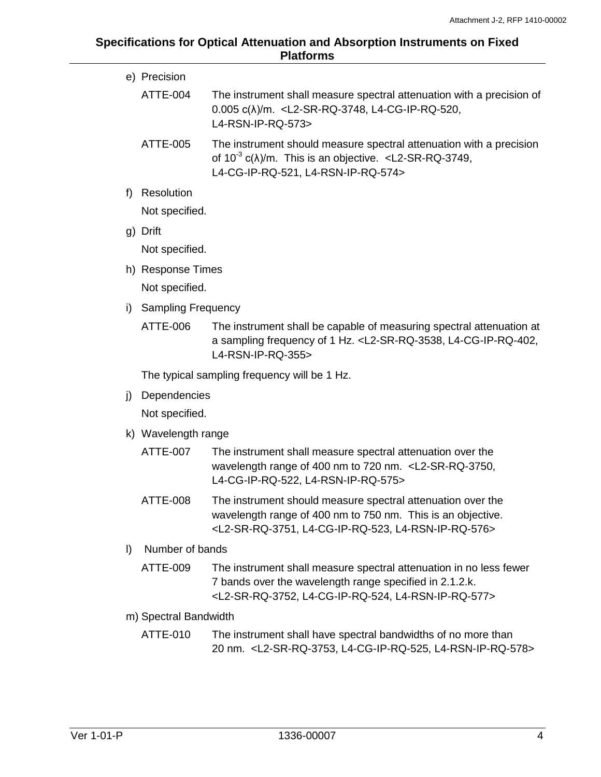|         | e) Precision              |                                                                                                                                                                                                            |  |  |  |  |  |
|---------|---------------------------|------------------------------------------------------------------------------------------------------------------------------------------------------------------------------------------------------------|--|--|--|--|--|
|         | ATTE-004                  | The instrument shall measure spectral attenuation with a precision of<br>0.005 c( $\lambda$ )/m. <l2-sr-rq-3748, l4-cg-ip-rq-520,<br="">L4-RSN-IP-RQ-573&gt;</l2-sr-rq-3748,>                              |  |  |  |  |  |
|         | <b>ATTE-005</b>           | The instrument should measure spectral attenuation with a precision<br>of $10^{-3}$ c( $\lambda$ )/m. This is an objective. <l2-sr-rq-3749,<br>L4-CG-IP-RQ-521, L4-RSN-IP-RQ-574&gt;</l2-sr-rq-3749,<br>   |  |  |  |  |  |
| f)      | Resolution                |                                                                                                                                                                                                            |  |  |  |  |  |
|         | Not specified.            |                                                                                                                                                                                                            |  |  |  |  |  |
|         | g) Drift                  |                                                                                                                                                                                                            |  |  |  |  |  |
|         | Not specified.            |                                                                                                                                                                                                            |  |  |  |  |  |
|         | h) Response Times         |                                                                                                                                                                                                            |  |  |  |  |  |
|         | Not specified.            |                                                                                                                                                                                                            |  |  |  |  |  |
| i)      | <b>Sampling Frequency</b> |                                                                                                                                                                                                            |  |  |  |  |  |
|         | ATTE-006                  | The instrument shall be capable of measuring spectral attenuation at<br>a sampling frequency of 1 Hz. <l2-sr-rq-3538, l4-cg-ip-rq-402,<br="">L4-RSN-IP-RQ-355&gt;</l2-sr-rq-3538,>                         |  |  |  |  |  |
|         |                           | The typical sampling frequency will be 1 Hz.                                                                                                                                                               |  |  |  |  |  |
| j)      | Dependencies              |                                                                                                                                                                                                            |  |  |  |  |  |
|         | Not specified.            |                                                                                                                                                                                                            |  |  |  |  |  |
|         | k) Wavelength range       |                                                                                                                                                                                                            |  |  |  |  |  |
|         | <b>ATTE-007</b>           | The instrument shall measure spectral attenuation over the<br>wavelength range of 400 nm to 720 nm. <l2-sr-rq-3750,<br>L4-CG-IP-RQ-522, L4-RSN-IP-RQ-575&gt;</l2-sr-rq-3750,<br>                           |  |  |  |  |  |
|         | ATTE-008                  | The instrument should measure spectral attenuation over the<br>wavelength range of 400 nm to 750 nm. This is an objective.<br><l2-sr-rq-3751, l4-cg-ip-rq-523,="" l4-rsn-ip-rq-576=""></l2-sr-rq-3751,>    |  |  |  |  |  |
| $\vert$ | Number of bands           |                                                                                                                                                                                                            |  |  |  |  |  |
|         | ATTE-009                  | The instrument shall measure spectral attenuation in no less fewer<br>7 bands over the wavelength range specified in 2.1.2.k.<br><l2-sr-rq-3752, l4-cg-ip-rq-524,="" l4-rsn-ip-rq-577=""></l2-sr-rq-3752,> |  |  |  |  |  |
|         | m) Spectral Bandwidth     |                                                                                                                                                                                                            |  |  |  |  |  |
|         | ATTE-010                  | The instrument shall have spectral bandwidths of no more than<br>20 nm. <l2-sr-rq-3753, l4-cg-ip-rq-525,="" l4-rsn-ip-rq-578=""></l2-sr-rq-3753,>                                                          |  |  |  |  |  |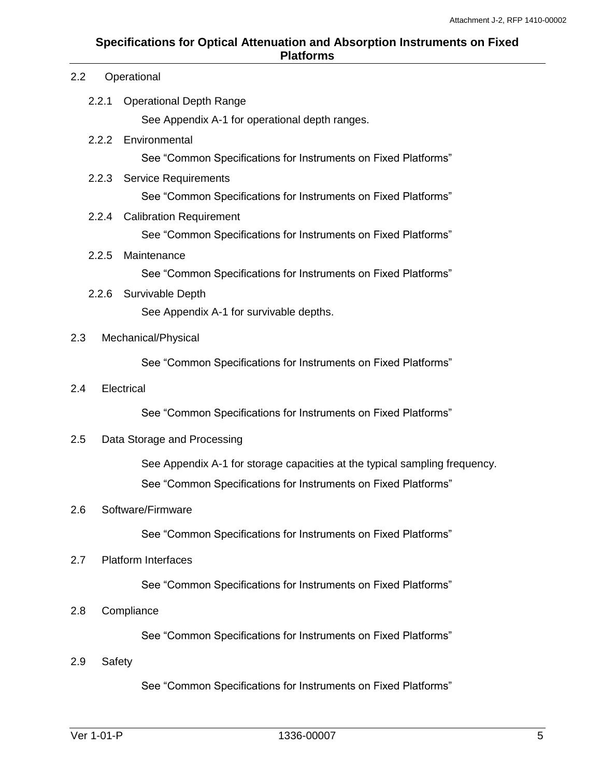#### 2.2 Operational

<span id="page-7-1"></span><span id="page-7-0"></span>2.2.1 Operational Depth Range

See Appendix A-1 for operational depth ranges.

<span id="page-7-2"></span>2.2.2 Environmental

See "Common Specifications for Instruments on Fixed Platforms"

<span id="page-7-3"></span>2.2.3 Service Requirements

See "Common Specifications for Instruments on Fixed Platforms"

## <span id="page-7-4"></span>2.2.4 Calibration Requirement

See "Common Specifications for Instruments on Fixed Platforms"

<span id="page-7-5"></span>2.2.5 Maintenance

See "Common Specifications for Instruments on Fixed Platforms"

<span id="page-7-6"></span>2.2.6 Survivable Depth

See Appendix A-1 for survivable depths.

## <span id="page-7-7"></span>2.3 Mechanical/Physical

See "Common Specifications for Instruments on Fixed Platforms"

<span id="page-7-8"></span>2.4 Electrical

See "Common Specifications for Instruments on Fixed Platforms"

<span id="page-7-9"></span>2.5 Data Storage and Processing

See Appendix A-1 for storage capacities at the typical sampling frequency. See "Common Specifications for Instruments on Fixed Platforms"

## <span id="page-7-10"></span>2.6 Software/Firmware

See "Common Specifications for Instruments on Fixed Platforms"

## <span id="page-7-11"></span>2.7 Platform Interfaces

See "Common Specifications for Instruments on Fixed Platforms"

## <span id="page-7-12"></span>2.8 Compliance

See "Common Specifications for Instruments on Fixed Platforms"

<span id="page-7-13"></span>2.9 Safety

See "Common Specifications for Instruments on Fixed Platforms"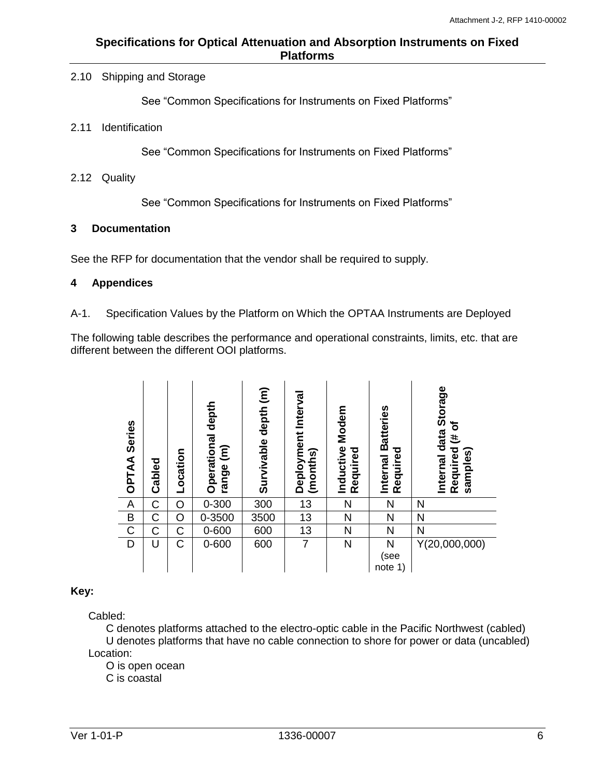## <span id="page-8-0"></span>2.10 Shipping and Storage

See "Common Specifications for Instruments on Fixed Platforms"

#### <span id="page-8-1"></span>2.11 Identification

See "Common Specifications for Instruments on Fixed Platforms"

#### <span id="page-8-2"></span>2.12 Quality

See "Common Specifications for Instruments on Fixed Platforms"

#### <span id="page-8-3"></span>**3 Documentation**

See the RFP for documentation that the vendor shall be required to supply.

#### <span id="page-8-4"></span>**4 Appendices**

<span id="page-8-5"></span>A-1. Specification Values by the Platform on Which the OPTAA Instruments are Deployed

The following table describes the performance and operational constraints, limits, etc. that are different between the different OOI platforms.

| <b>Series</b><br><b>OPTAA</b> | Cabled | Location | Operational depth<br>$\widehat{\epsilon}$<br>range | $\widehat{\epsilon}$<br>Survivable depth | Interval<br>Deployment<br>(months) | Modem<br>Inductive<br>Required | Internal Batteries<br>Required | Internal data Storage<br>৳<br>ŧ,<br>Required<br>samples) |
|-------------------------------|--------|----------|----------------------------------------------------|------------------------------------------|------------------------------------|--------------------------------|--------------------------------|----------------------------------------------------------|
| A                             | C      | O        | $0 - 300$                                          | 300                                      | 13                                 | N                              | N                              | N                                                        |
| B                             | C      | O        | 0-3500                                             | 3500                                     | 13                                 | N                              | N                              | N                                                        |
| $\overline{C}$                | С      | C        | 0-600                                              | 600                                      | 13                                 | N                              | N                              | N                                                        |
| D                             | U      | C        | $0 - 600$                                          | 600                                      | 7                                  | N                              | N<br>(see<br>note<br>1)        | Y(20,000,000)                                            |

## **Key:**

Cabled:

C denotes platforms attached to the electro-optic cable in the Pacific Northwest (cabled) U denotes platforms that have no cable connection to shore for power or data (uncabled) Location:

O is open ocean

C is coastal